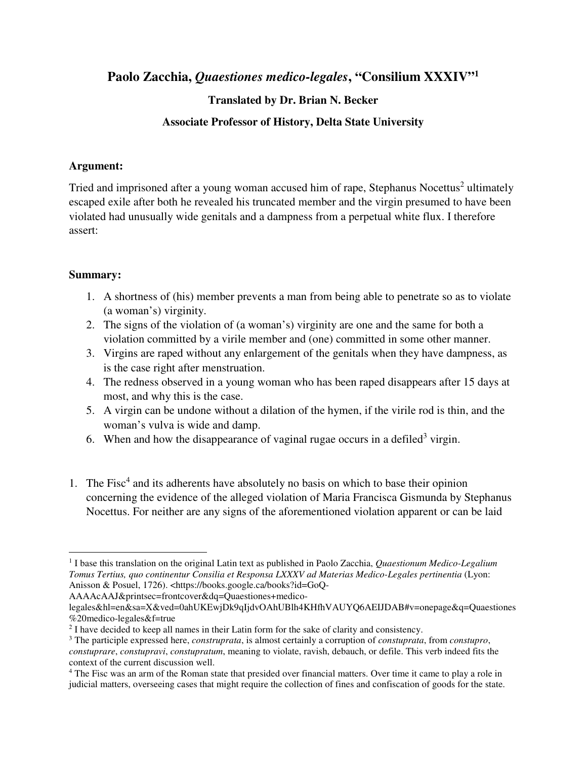**Paolo Zacchia,** *Quaestiones medico-legales***, "Consilium XXXIV"<sup>1</sup>**

## **Translated by Dr. Brian N. Becker**

## **Associate Professor of History, Delta State University**

## **Argument:**

Tried and imprisoned after a young woman accused him of rape, Stephanus Nocettus<sup>2</sup> ultimately escaped exile after both he revealed his truncated member and the virgin presumed to have been violated had unusually wide genitals and a dampness from a perpetual white flux. I therefore assert:

## **Summary:**

- 1. A shortness of (his) member prevents a man from being able to penetrate so as to violate (a woman's) virginity.
- 2. The signs of the violation of (a woman's) virginity are one and the same for both a violation committed by a virile member and (one) committed in some other manner.
- 3. Virgins are raped without any enlargement of the genitals when they have dampness, as is the case right after menstruation.
- 4. The redness observed in a young woman who has been raped disappears after 15 days at most, and why this is the case.
- 5. A virgin can be undone without a dilation of the hymen, if the virile rod is thin, and the woman's vulva is wide and damp.
- 6. When and how the disappearance of vaginal rugae occurs in a defiled<sup>3</sup> virgin.
- 1. The Fisc<sup>4</sup> and its adherents have absolutely no basis on which to base their opinion concerning the evidence of the alleged violation of Maria Francisca Gismunda by Stephanus Nocettus. For neither are any signs of the aforementioned violation apparent or can be laid

AAAAcAAJ&printsec=frontcover&dq=Quaestiones+medico-

<sup>-</sup><sup>1</sup> I base this translation on the original Latin text as published in Paolo Zacchia, *Quaestionum Medico-Legalium Tomus Tertius, quo continentur Consilia et Responsa LXXXV ad Materias Medico-Legales pertinentia* (Lyon: Anisson & Posuel, 1726). <https://books.google.ca/books?id=GoQ-

legales&hl=en&sa=X&ved=0ahUKEwjDk9qIjdvOAhUBlh4KHfhVAUYQ6AEIJDAB#v=onepage&q=Quaestiones %20medico-legales&f=true

<sup>&</sup>lt;sup>2</sup> I have decided to keep all names in their Latin form for the sake of clarity and consistency.

<sup>3</sup> The participle expressed here, *construprata*, is almost certainly a corruption of *constuprata*, from *constupro*, *constuprare*, *constupravi*, *constupratum*, meaning to violate, ravish, debauch, or defile. This verb indeed fits the context of the current discussion well.

<sup>&</sup>lt;sup>4</sup> The Fisc was an arm of the Roman state that presided over financial matters. Over time it came to play a role in judicial matters, overseeing cases that might require the collection of fines and confiscation of goods for the state.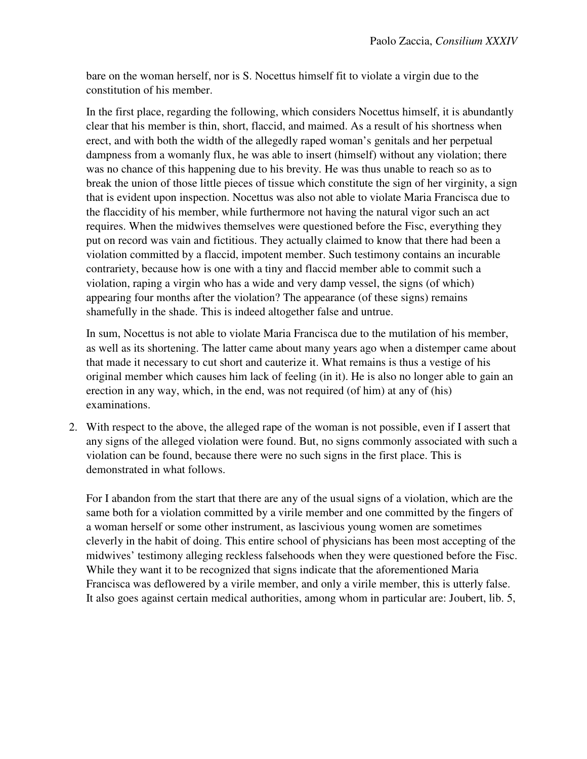bare on the woman herself, nor is S. Nocettus himself fit to violate a virgin due to the constitution of his member.

In the first place, regarding the following, which considers Nocettus himself, it is abundantly clear that his member is thin, short, flaccid, and maimed. As a result of his shortness when erect, and with both the width of the allegedly raped woman's genitals and her perpetual dampness from a womanly flux, he was able to insert (himself) without any violation; there was no chance of this happening due to his brevity. He was thus unable to reach so as to break the union of those little pieces of tissue which constitute the sign of her virginity, a sign that is evident upon inspection. Nocettus was also not able to violate Maria Francisca due to the flaccidity of his member, while furthermore not having the natural vigor such an act requires. When the midwives themselves were questioned before the Fisc, everything they put on record was vain and fictitious. They actually claimed to know that there had been a violation committed by a flaccid, impotent member. Such testimony contains an incurable contrariety, because how is one with a tiny and flaccid member able to commit such a violation, raping a virgin who has a wide and very damp vessel, the signs (of which) appearing four months after the violation? The appearance (of these signs) remains shamefully in the shade. This is indeed altogether false and untrue.

In sum, Nocettus is not able to violate Maria Francisca due to the mutilation of his member, as well as its shortening. The latter came about many years ago when a distemper came about that made it necessary to cut short and cauterize it. What remains is thus a vestige of his original member which causes him lack of feeling (in it). He is also no longer able to gain an erection in any way, which, in the end, was not required (of him) at any of (his) examinations.

2. With respect to the above, the alleged rape of the woman is not possible, even if I assert that any signs of the alleged violation were found. But, no signs commonly associated with such a violation can be found, because there were no such signs in the first place. This is demonstrated in what follows.

For I abandon from the start that there are any of the usual signs of a violation, which are the same both for a violation committed by a virile member and one committed by the fingers of a woman herself or some other instrument, as lascivious young women are sometimes cleverly in the habit of doing. This entire school of physicians has been most accepting of the midwives' testimony alleging reckless falsehoods when they were questioned before the Fisc. While they want it to be recognized that signs indicate that the aforementioned Maria Francisca was deflowered by a virile member, and only a virile member, this is utterly false. It also goes against certain medical authorities, among whom in particular are: Joubert, lib. 5,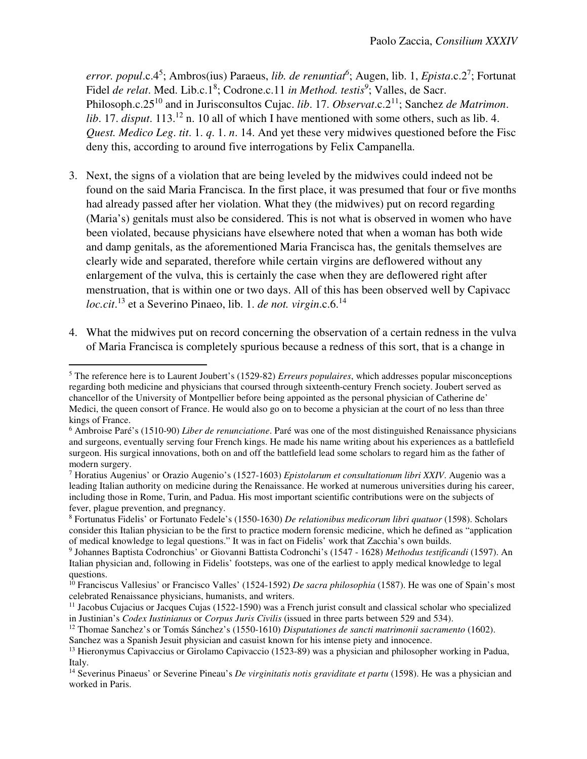error. popul.c.4<sup>5</sup>; Ambros(ius) Paraeus, *lib. de renuntiat*<sup>6</sup>; Augen, lib. 1, *Epista.c.2*<sup>7</sup>; Fortunat Fidel *de relat*. Med. Lib.c.1<sup>8</sup>; Codrone.c.11 *in Method. testis*<sup>9</sup>; Valles, de Sacr. Philosoph.c.25<sup>10</sup> and in Jurisconsultos Cujac. *lib*. 17. *Observat*.c.2<sup>11</sup>; Sanchez *de Matrimon*. *lib.* 17. *disput*. 113.<sup>12</sup> n. 10 all of which I have mentioned with some others, such as lib. 4. *Quest. Medico Leg*. *tit*. 1. *q*. 1. *n*. 14. And yet these very midwives questioned before the Fisc deny this, according to around five interrogations by Felix Campanella.

- 3. Next, the signs of a violation that are being leveled by the midwives could indeed not be found on the said Maria Francisca. In the first place, it was presumed that four or five months had already passed after her violation. What they (the midwives) put on record regarding (Maria's) genitals must also be considered. This is not what is observed in women who have been violated, because physicians have elsewhere noted that when a woman has both wide and damp genitals, as the aforementioned Maria Francisca has, the genitals themselves are clearly wide and separated, therefore while certain virgins are deflowered without any enlargement of the vulva, this is certainly the case when they are deflowered right after menstruation, that is within one or two days. All of this has been observed well by Capivacc *loc.cit*. <sup>13</sup> et a Severino Pinaeo, lib. 1. *de not. virgin*.c.6.<sup>14</sup>
- 4. What the midwives put on record concerning the observation of a certain redness in the vulva of Maria Francisca is completely spurious because a redness of this sort, that is a change in

 $\overline{a}$ 

<sup>5</sup> The reference here is to Laurent Joubert's (1529-82) *Erreurs populaires*, which addresses popular misconceptions regarding both medicine and physicians that coursed through sixteenth-century French society. Joubert served as chancellor of the University of Montpellier before being appointed as the personal physician of Catherine de' Medici, the queen consort of France. He would also go on to become a physician at the court of no less than three kings of France.

<sup>6</sup> Ambroise Paré's (1510-90) *Liber de renunciatione*. Paré was one of the most distinguished Renaissance physicians and surgeons, eventually serving four French kings. He made his name writing about his experiences as a battlefield surgeon. His surgical innovations, both on and off the battlefield lead some scholars to regard him as the father of modern surgery.

<sup>7</sup> Horatius Augenius' or Orazio Augenio's (1527-1603) *Epistolarum et consultationum libri XXIV*. Augenio was a leading Italian authority on medicine during the Renaissance. He worked at numerous universities during his career, including those in Rome, Turin, and Padua. His most important scientific contributions were on the subjects of fever, plague prevention, and pregnancy.

<sup>8</sup> Fortunatus Fidelis' or Fortunato Fedele's (1550-1630) *De relationibus medicorum libri quatuor* (1598). Scholars consider this Italian physician to be the first to practice modern forensic medicine, which he defined as "application of medical knowledge to legal questions." It was in fact on Fidelis' work that Zacchia's own builds.

<sup>9</sup> Johannes Baptista Codronchius' or Giovanni Battista Codronchi's (1547 - 1628) *Methodus testificandi* (1597). An Italian physician and, following in Fidelis' footsteps, was one of the earliest to apply medical knowledge to legal questions.

<sup>&</sup>lt;sup>10</sup> Franciscus Vallesius' or Francisco Valles' (1524-1592) *De sacra philosophia* (1587). He was one of Spain's most celebrated Renaissance physicians, humanists, and writers.

 $11$  Jacobus Cujacius or Jacques Cujas (1522-1590) was a French jurist consult and classical scholar who specialized in Justinian's *Codex Iustinianus* or *Corpus Juris Civilis* (issued in three parts between 529 and 534).

<sup>12</sup> Thomae Sanchez's or Tomás Sánchez's (1550-1610) *Disputationes de sancti matrimonii sacramento* (1602).

Sanchez was a Spanish Jesuit physician and casuist known for his intense piety and innocence.

<sup>13</sup> Hieronymus Capivaccius or Girolamo Capivaccio (1523-89) was a physician and philosopher working in Padua, Italy.

<sup>14</sup> Severinus Pinaeus' or Severine Pineau's *De virginitatis notis graviditate et partu* (1598). He was a physician and worked in Paris.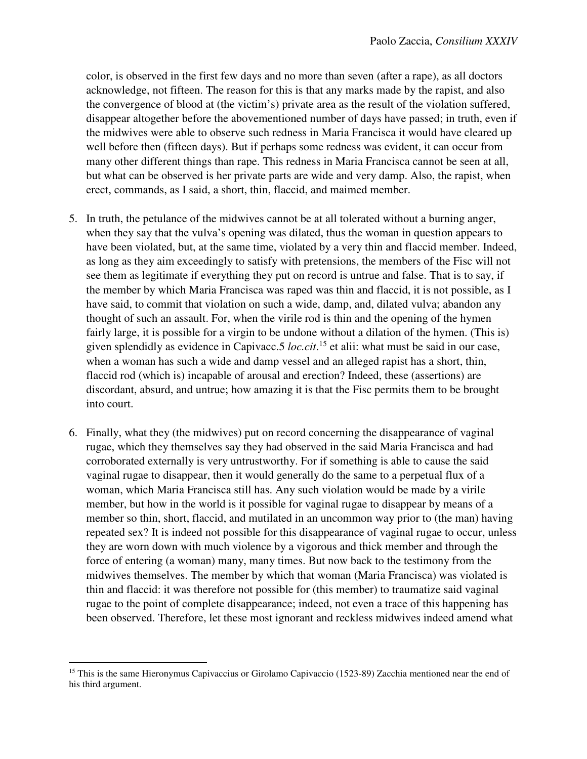color, is observed in the first few days and no more than seven (after a rape), as all doctors acknowledge, not fifteen. The reason for this is that any marks made by the rapist, and also the convergence of blood at (the victim's) private area as the result of the violation suffered, disappear altogether before the abovementioned number of days have passed; in truth, even if the midwives were able to observe such redness in Maria Francisca it would have cleared up well before then (fifteen days). But if perhaps some redness was evident, it can occur from many other different things than rape. This redness in Maria Francisca cannot be seen at all, but what can be observed is her private parts are wide and very damp. Also, the rapist, when erect, commands, as I said, a short, thin, flaccid, and maimed member.

- 5. In truth, the petulance of the midwives cannot be at all tolerated without a burning anger, when they say that the vulva's opening was dilated, thus the woman in question appears to have been violated, but, at the same time, violated by a very thin and flaccid member. Indeed, as long as they aim exceedingly to satisfy with pretensions, the members of the Fisc will not see them as legitimate if everything they put on record is untrue and false. That is to say, if the member by which Maria Francisca was raped was thin and flaccid, it is not possible, as I have said, to commit that violation on such a wide, damp, and, dilated vulva; abandon any thought of such an assault. For, when the virile rod is thin and the opening of the hymen fairly large, it is possible for a virgin to be undone without a dilation of the hymen. (This is) given splendidly as evidence in Capivacc.5 *loc.cit*. <sup>15</sup> et alii: what must be said in our case, when a woman has such a wide and damp vessel and an alleged rapist has a short, thin, flaccid rod (which is) incapable of arousal and erection? Indeed, these (assertions) are discordant, absurd, and untrue; how amazing it is that the Fisc permits them to be brought into court.
- 6. Finally, what they (the midwives) put on record concerning the disappearance of vaginal rugae, which they themselves say they had observed in the said Maria Francisca and had corroborated externally is very untrustworthy. For if something is able to cause the said vaginal rugae to disappear, then it would generally do the same to a perpetual flux of a woman, which Maria Francisca still has. Any such violation would be made by a virile member, but how in the world is it possible for vaginal rugae to disappear by means of a member so thin, short, flaccid, and mutilated in an uncommon way prior to (the man) having repeated sex? It is indeed not possible for this disappearance of vaginal rugae to occur, unless they are worn down with much violence by a vigorous and thick member and through the force of entering (a woman) many, many times. But now back to the testimony from the midwives themselves. The member by which that woman (Maria Francisca) was violated is thin and flaccid: it was therefore not possible for (this member) to traumatize said vaginal rugae to the point of complete disappearance; indeed, not even a trace of this happening has been observed. Therefore, let these most ignorant and reckless midwives indeed amend what

 $\overline{a}$ <sup>15</sup> This is the same Hieronymus Capivaccius or Girolamo Capivaccio (1523-89) Zacchia mentioned near the end of his third argument.